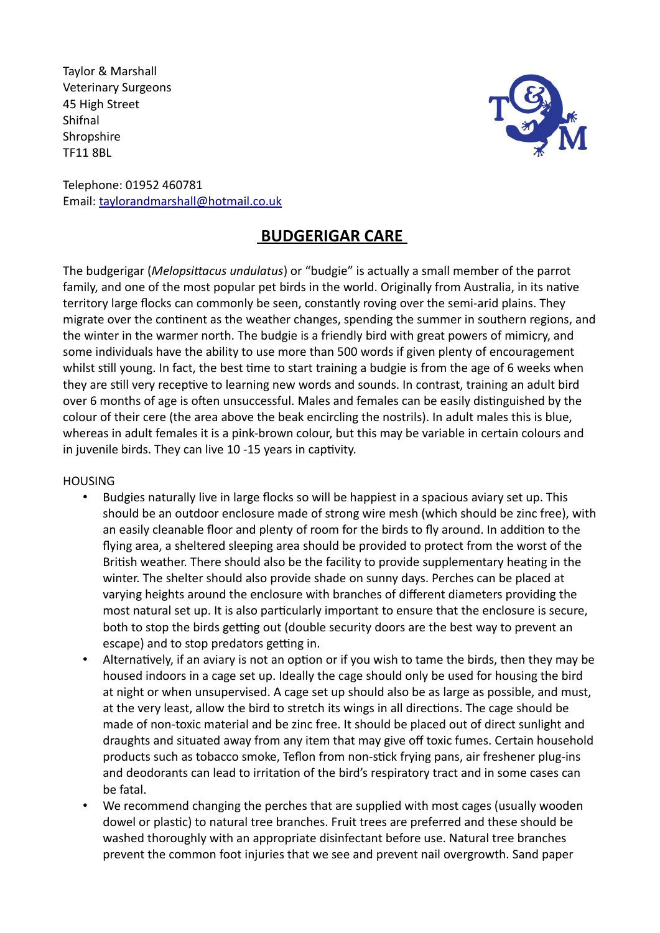Taylor & Marshall Veterinary Surgeons 45 High Street Shifnal **Shropshire** TF11 8BL



Telephone: 01952 460781 Email: taylorandmarshall@hotmail.co.uk

# **BUDGERIGAR CARE**

The budgerigar (*Melopsittacus undulatus*) or "budgie" is actually a small member of the parrot family, and one of the most popular pet birds in the world. Originally from Australia, in its native territory large flocks can commonly be seen, constantly roving over the semi-arid plains. They migrate over the continent as the weather changes, spending the summer in southern regions, and the winter in the warmer north. The budgie is a friendly bird with great powers of mimicry, and some individuals have the ability to use more than 500 words if given plenty of encouragement whilst still young. In fact, the best time to start training a budgie is from the age of 6 weeks when they are still very receptive to learning new words and sounds. In contrast, training an adult bird over 6 months of age is often unsuccessful. Males and females can be easily distinguished by the colour of their cere (the area above the beak encircling the nostrils). In adult males this is blue, whereas in adult females it is a pink-brown colour, but this may be variable in certain colours and in juvenile birds. They can live 10 -15 years in captivity.

### HOUSING

- Budgies naturally live in large flocks so will be happiest in a spacious aviary set up. This should be an outdoor enclosure made of strong wire mesh (which should be zinc free), with an easily cleanable floor and plenty of room for the birds to fly around. In addition to the flying area, a sheltered sleeping area should be provided to protect from the worst of the British weather. There should also be the facility to provide supplementary heating in the winter. The shelter should also provide shade on sunny days. Perches can be placed at varying heights around the enclosure with branches of different diameters providing the most natural set up. It is also particularly important to ensure that the enclosure is secure, both to stop the birds getting out (double security doors are the best way to prevent an escape) and to stop predators getting in.
- Alternatively, if an aviary is not an option or if you wish to tame the birds, then they may be housed indoors in a cage set up. Ideally the cage should only be used for housing the bird at night or when unsupervised. A cage set up should also be as large as possible, and must, at the very least, allow the bird to stretch its wings in all directions. The cage should be made of non-toxic material and be zinc free. It should be placed out of direct sunlight and draughts and situated away from any item that may give off toxic fumes. Certain household products such as tobacco smoke, Teflon from non-stick frying pans, air freshener plug-ins and deodorants can lead to irritation of the bird's respiratory tract and in some cases can be fatal.
- We recommend changing the perches that are supplied with most cages (usually wooden dowel or plastic) to natural tree branches. Fruit trees are preferred and these should be washed thoroughly with an appropriate disinfectant before use. Natural tree branches prevent the common foot injuries that we see and prevent nail overgrowth. Sand paper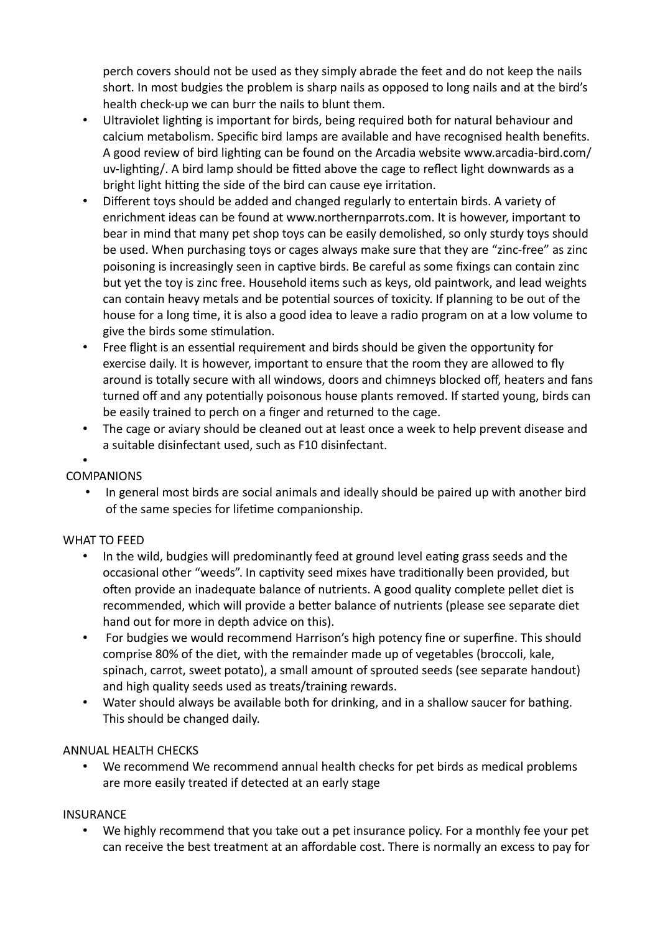perch covers should not be used as they simply abrade the feet and do not keep the nails short. In most budgies the problem is sharp nails as opposed to long nails and at the bird's health check-up we can burr the nails to blunt them.

- Ultraviolet lighting is important for birds, being required both for natural behaviour and calcium metabolism. Specific bird lamps are available and have recognised health benefits. A good review of bird lighting can be found on the Arcadia website www.arcadia-bird.com/ uv-lighting/. A bird lamp should be fitted above the cage to reflect light downwards as a bright light hitting the side of the bird can cause eye irritation.
- Different toys should be added and changed regularly to entertain birds. A variety of enrichment ideas can be found at www.northernparrots.com. It is however, important to bear in mind that many pet shop toys can be easily demolished, so only sturdy toys should be used. When purchasing toys or cages always make sure that they are "zinc-free" as zinc poisoning is increasingly seen in captive birds. Be careful as some fixings can contain zinc but yet the toy is zinc free. Household items such as keys, old paintwork, and lead weights can contain heavy metals and be potential sources of toxicity. If planning to be out of the house for a long time, it is also a good idea to leave a radio program on at a low volume to give the birds some stimulation.
- Free flight is an essential requirement and birds should be given the opportunity for exercise daily. It is however, important to ensure that the room they are allowed to fly around is totally secure with all windows, doors and chimneys blocked off, heaters and fans turned off and any potentially poisonous house plants removed. If started young, birds can be easily trained to perch on a finger and returned to the cage.
- The cage or aviary should be cleaned out at least once a week to help prevent disease and a suitable disinfectant used, such as F10 disinfectant.

## •

## **COMPANIONS**

• In general most birds are social animals and ideally should be paired up with another bird of the same species for lifetime companionship.

### WHAT TO FEED

- In the wild, budgies will predominantly feed at ground level eating grass seeds and the occasional other "weeds". In captivity seed mixes have traditionally been provided, but often provide an inadequate balance of nutrients. A good quality complete pellet diet is recommended, which will provide a better balance of nutrients (please see separate diet hand out for more in depth advice on this).
- For budgies we would recommend Harrison's high potency fine or superfine. This should comprise 80% of the diet, with the remainder made up of vegetables (broccoli, kale, spinach, carrot, sweet potato), a small amount of sprouted seeds (see separate handout) and high quality seeds used as treats/training rewards.
- Water should always be available both for drinking, and in a shallow saucer for bathing. This should be changed daily.

## ANNUAL HEALTH CHECKS

• We recommend We recommend annual health checks for pet birds as medical problems are more easily treated if detected at an early stage

### INSURANCE

• We highly recommend that you take out a pet insurance policy. For a monthly fee your pet can receive the best treatment at an affordable cost. There is normally an excess to pay for